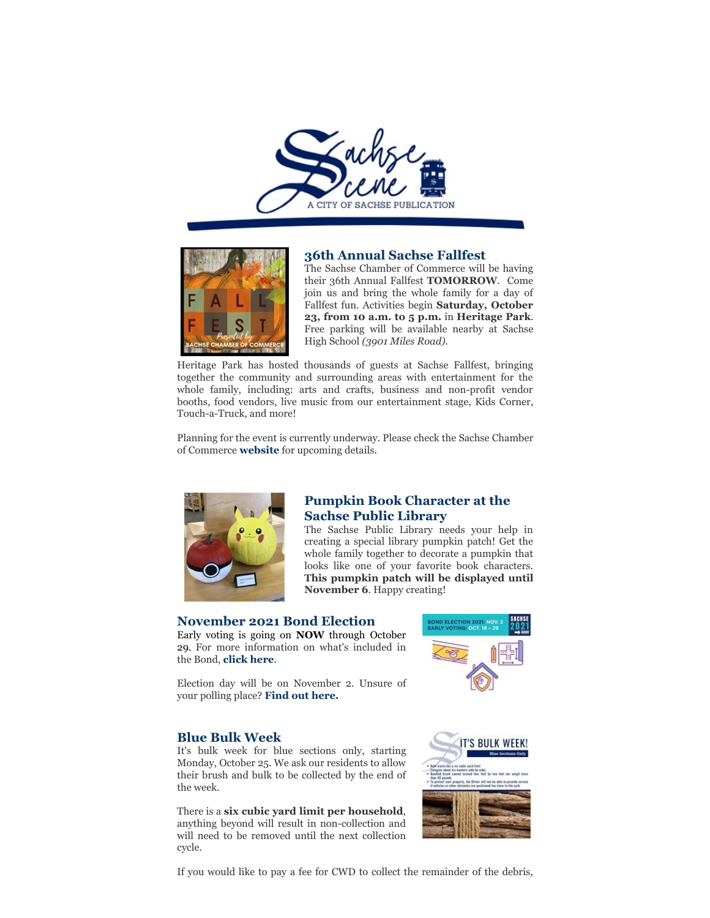



### **36th Annual Sachse Fallfest**

The Sachse Chamber of Commerce will be having their 36th Annual Fallfest **TOMORROW**. Come join us and bring the whole family for a day of Fallfest fun. Activities begin **Saturday, October 23, from 10 a.m. to 5 p.m.** in **Heritage Park**. Free parking will be available nearby at Sachse High School *(3901 Miles Road).*

Heritage Park has hosted thousands of guests at Sachse Fallfest, bringing together the community and surrounding areas with entertainment for the whole family, including: arts and crafts, business and non-profit vendor booths, food vendors, live music from our entertainment stage, Kids Corner, Touch-a-Truck, and more!

Planning for the event is currently underway. Please check the Sachse Chamber of Commerce **website** for upcoming details.



# **Pumpkin Book Character at the Sachse Public Library**

The Sachse Public Library needs your help in creating a special library pumpkin patch! Get the whole family together to decorate a pumpkin that looks like one of your favorite book characters. **This pumpkin patch will be displayed until November 6**. Happy creating!

# **November 2021 Bond Election**

Early voting is going on **NOW** through October 29. For more information on what's included in the Bond, **click here**.

Election day will be on November 2. Unsure of your polling place? **Find out here.**

### **Blue Bulk Week**

It's bulk week for blue sections only, starting Monday, October 25. We ask our residents to allow their brush and bulk to be collected by the end of the week.

There is a **six cubic yard limit per household**, anything beyond will result in non-collection and will need to be removed until the next collection cycle.





If you would like to pay a fee for CWD to collect the remainder of the debris,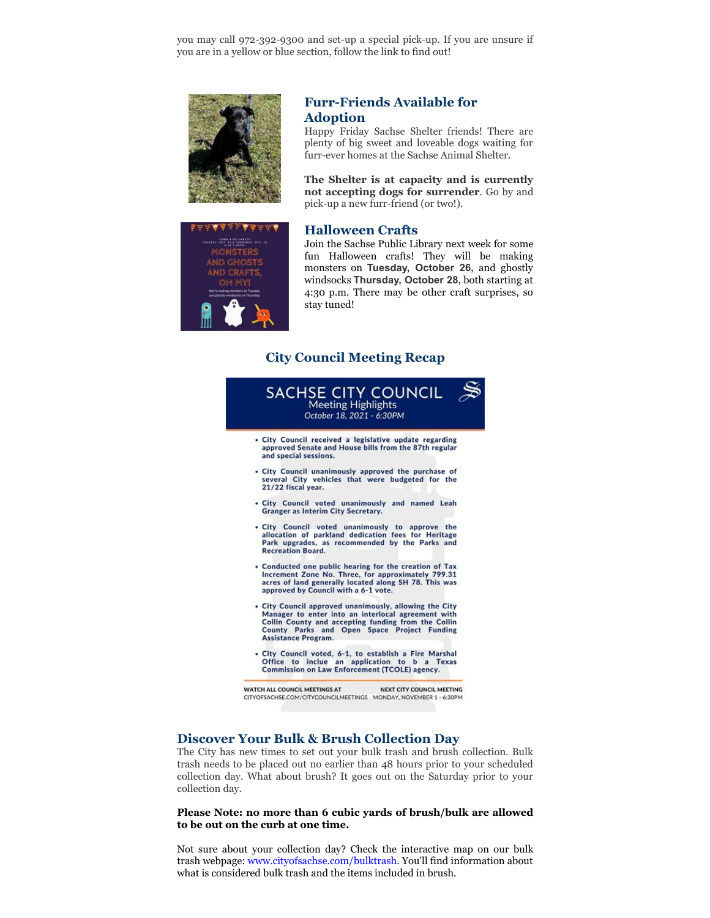you may call 972-392-9300 and set-up a special pick-up. If you are unsure if you are in a yellow or blue section, follow the link to find out!



# **Furr-Friends Available for Adoption**

Happy Friday Sachse Shelter friends! There are plenty of big sweet and loveable dogs waiting for furr-ever homes at the Sachse Animal Shelter.

**The Shelter is at capacity and is currently not accepting dogs for surrender**. Go by and pick-up a new furr-friend (or two!).

#### **Halloween Crafts**

Join the Sachse Public Library next week for some fun Halloween crafts! They will be making monsters on **Tuesday, October 26,** and ghostly windsocks **Thursday, October 28**, both starting at 4:30 p.m. There may be other craft surprises, so stay tuned!

# **City Council Meeting Recap**



# **Discover Your Bulk & Brush Collection Day**

The City has new times to set out your bulk trash and brush collection. Bulk trash needs to be placed out no earlier than 48 hours prior to your scheduled collection day. What about brush? It goes out on the Saturday prior to your collection day.

#### **Please Note: no more than 6 cubic yards of brush/bulk are allowed to be out on the curb at one time.**

Not sure about your collection day? Check the interactive map on our bulk trash webpage: www.cityofsachse.com/bulktrash. You'll find information about what is considered bulk trash and the items included in brush.